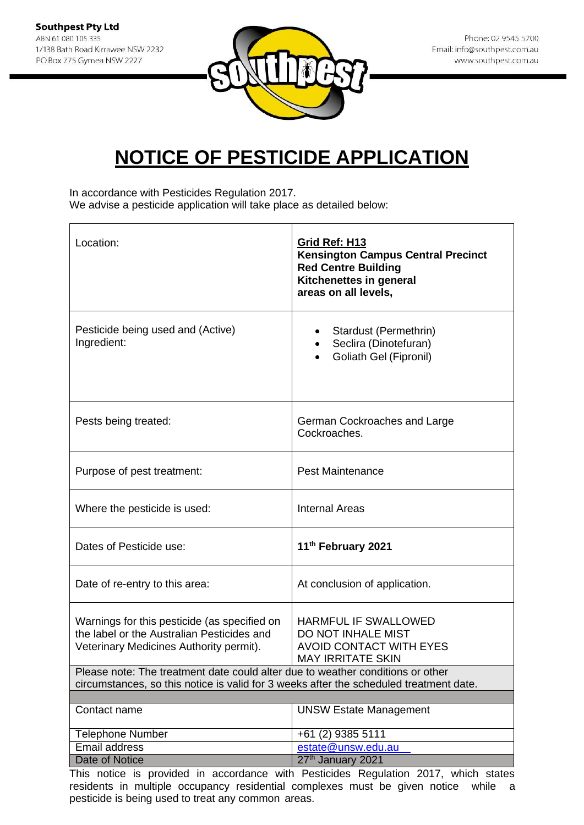

In accordance with Pesticides Regulation 2017. We advise a pesticide application will take place as detailed below:

| Location:                                                                                                                                                                | Grid Ref: H13<br><b>Kensington Campus Central Precinct</b><br><b>Red Centre Building</b><br>Kitchenettes in general<br>areas on all levels, |  |
|--------------------------------------------------------------------------------------------------------------------------------------------------------------------------|---------------------------------------------------------------------------------------------------------------------------------------------|--|
| Pesticide being used and (Active)<br>Ingredient:                                                                                                                         | Stardust (Permethrin)<br>Seclira (Dinotefuran)<br>Goliath Gel (Fipronil)                                                                    |  |
| Pests being treated:                                                                                                                                                     | German Cockroaches and Large<br>Cockroaches.                                                                                                |  |
| Purpose of pest treatment:                                                                                                                                               | <b>Pest Maintenance</b>                                                                                                                     |  |
| Where the pesticide is used:                                                                                                                                             | <b>Internal Areas</b>                                                                                                                       |  |
| Dates of Pesticide use:                                                                                                                                                  | 11 <sup>th</sup> February 2021                                                                                                              |  |
| Date of re-entry to this area:                                                                                                                                           | At conclusion of application.                                                                                                               |  |
| Warnings for this pesticide (as specified on<br>the label or the Australian Pesticides and<br>Veterinary Medicines Authority permit).                                    | <b>HARMFUL IF SWALLOWED</b><br>DO NOT INHALE MIST<br><b>AVOID CONTACT WITH EYES</b><br><b>MAY IRRITATE SKIN</b>                             |  |
| Please note: The treatment date could alter due to weather conditions or other<br>circumstances, so this notice is valid for 3 weeks after the scheduled treatment date. |                                                                                                                                             |  |
|                                                                                                                                                                          |                                                                                                                                             |  |
| Contact name                                                                                                                                                             | <b>UNSW Estate Management</b>                                                                                                               |  |
| <b>Telephone Number</b>                                                                                                                                                  | +61 (2) 9385 5111                                                                                                                           |  |
| Email address                                                                                                                                                            | estate@unsw.edu.au                                                                                                                          |  |
| Date of Notice                                                                                                                                                           | 27th January 2021                                                                                                                           |  |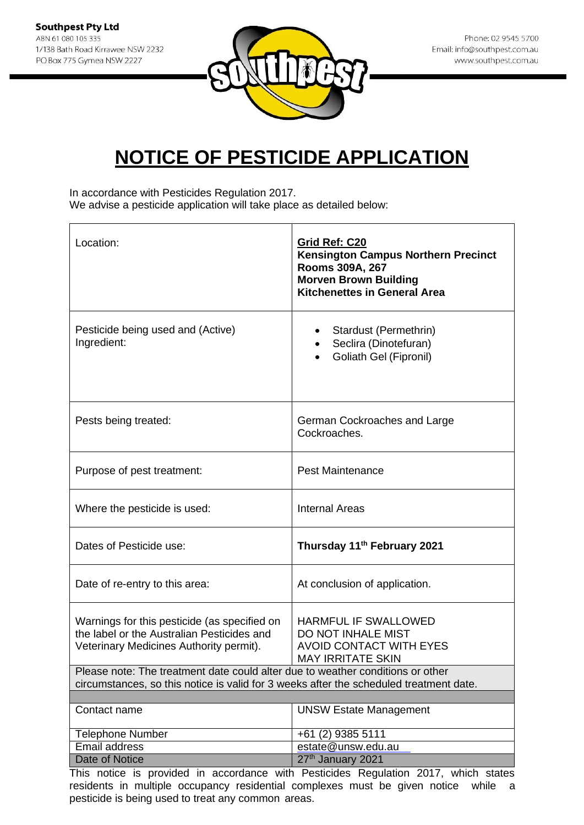

In accordance with Pesticides Regulation 2017. We advise a pesticide application will take place as detailed below:

| Location:                                                                                                                                                                | Grid Ref: C20<br>Kensington Campus Northern Precinct<br>Rooms 309A, 267<br><b>Morven Brown Building</b><br><b>Kitchenettes in General Area</b> |
|--------------------------------------------------------------------------------------------------------------------------------------------------------------------------|------------------------------------------------------------------------------------------------------------------------------------------------|
| Pesticide being used and (Active)<br>Ingredient:                                                                                                                         | Stardust (Permethrin)<br>Seclira (Dinotefuran)<br>$\bullet$<br>Goliath Gel (Fipronil)                                                          |
| Pests being treated:                                                                                                                                                     | German Cockroaches and Large<br>Cockroaches.                                                                                                   |
| Purpose of pest treatment:                                                                                                                                               | <b>Pest Maintenance</b>                                                                                                                        |
| Where the pesticide is used:                                                                                                                                             | <b>Internal Areas</b>                                                                                                                          |
| Dates of Pesticide use:                                                                                                                                                  | Thursday 11 <sup>th</sup> February 2021                                                                                                        |
| Date of re-entry to this area:                                                                                                                                           | At conclusion of application.                                                                                                                  |
| Warnings for this pesticide (as specified on<br>the label or the Australian Pesticides and<br>Veterinary Medicines Authority permit).                                    | <b>HARMFUL IF SWALLOWED</b><br>DO NOT INHALE MIST<br><b>AVOID CONTACT WITH EYES</b><br><b>MAY IRRITATE SKIN</b>                                |
| Please note: The treatment date could alter due to weather conditions or other<br>circumstances, so this notice is valid for 3 weeks after the scheduled treatment date. |                                                                                                                                                |
|                                                                                                                                                                          |                                                                                                                                                |
| Contact name                                                                                                                                                             | <b>UNSW Estate Management</b>                                                                                                                  |
| <b>Telephone Number</b>                                                                                                                                                  | +61 (2) 9385 5111                                                                                                                              |
| Email address                                                                                                                                                            | estate@unsw.edu.au                                                                                                                             |
| Date of Notice                                                                                                                                                           | 27th January 2021                                                                                                                              |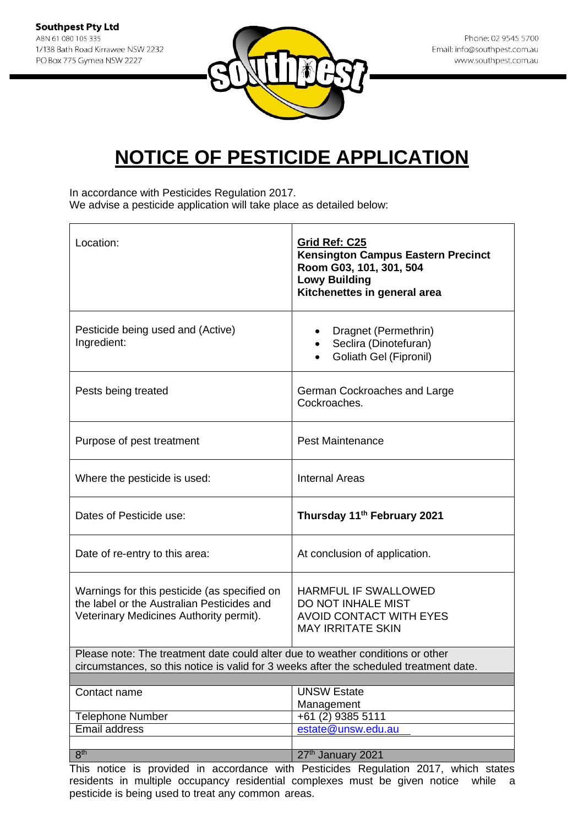

In accordance with Pesticides Regulation 2017. We advise a pesticide application will take place as detailed below:

| Location:                                                                                                                                                                | Grid Ref: C25<br><b>Kensington Campus Eastern Precinct</b><br>Room G03, 101, 301, 504<br><b>Lowy Building</b><br>Kitchenettes in general area |
|--------------------------------------------------------------------------------------------------------------------------------------------------------------------------|-----------------------------------------------------------------------------------------------------------------------------------------------|
| Pesticide being used and (Active)<br>Ingredient:                                                                                                                         | Dragnet (Permethrin)<br>Seclira (Dinotefuran)<br>Goliath Gel (Fipronil)                                                                       |
| Pests being treated                                                                                                                                                      | German Cockroaches and Large<br>Cockroaches.                                                                                                  |
| Purpose of pest treatment                                                                                                                                                | <b>Pest Maintenance</b>                                                                                                                       |
| Where the pesticide is used:                                                                                                                                             | <b>Internal Areas</b>                                                                                                                         |
| Dates of Pesticide use:                                                                                                                                                  | Thursday 11 <sup>th</sup> February 2021                                                                                                       |
| Date of re-entry to this area:                                                                                                                                           | At conclusion of application.                                                                                                                 |
| Warnings for this pesticide (as specified on<br>the label or the Australian Pesticides and<br>Veterinary Medicines Authority permit).                                    | <b>HARMFUL IF SWALLOWED</b><br>DO NOT INHALE MIST<br><b>AVOID CONTACT WITH EYES</b><br><b>MAY IRRITATE SKIN</b>                               |
| Please note: The treatment date could alter due to weather conditions or other<br>circumstances, so this notice is valid for 3 weeks after the scheduled treatment date. |                                                                                                                                               |
|                                                                                                                                                                          |                                                                                                                                               |
| Contact name                                                                                                                                                             | <b>UNSW Estate</b><br>Management                                                                                                              |
| <b>Telephone Number</b>                                                                                                                                                  | +61 (2) 9385 5111                                                                                                                             |
| <b>Email address</b>                                                                                                                                                     | estate@unsw.edu.au                                                                                                                            |
|                                                                                                                                                                          |                                                                                                                                               |
| 8 <sup>th</sup><br>TL:                                                                                                                                                   | 27th January 2021                                                                                                                             |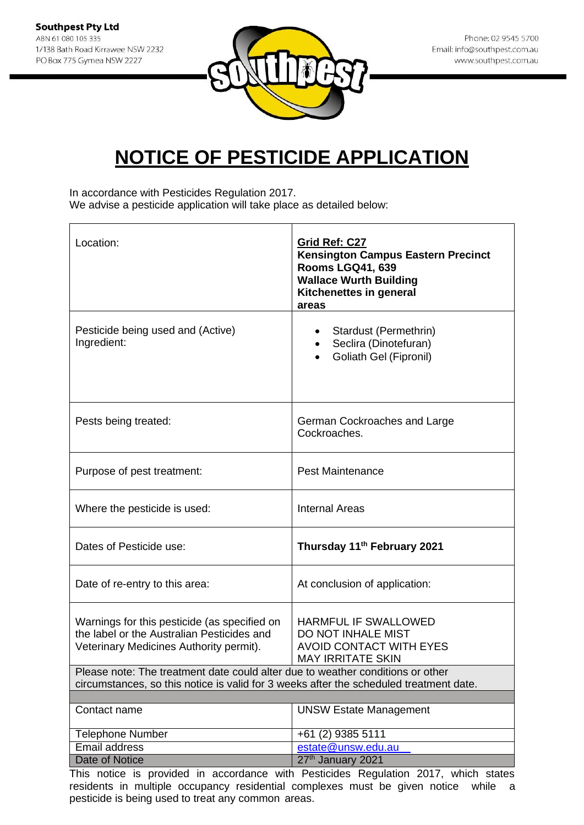

In accordance with Pesticides Regulation 2017. We advise a pesticide application will take place as detailed below:

| Location:                                                                                                                                                                | Grid Ref: C27<br><b>Kensington Campus Eastern Precinct</b><br><b>Rooms LGQ41, 639</b><br><b>Wallace Wurth Building</b><br>Kitchenettes in general<br>areas |
|--------------------------------------------------------------------------------------------------------------------------------------------------------------------------|------------------------------------------------------------------------------------------------------------------------------------------------------------|
| Pesticide being used and (Active)<br>Ingredient:                                                                                                                         | Stardust (Permethrin)<br>٠<br>Seclira (Dinotefuran)<br>Goliath Gel (Fipronil)                                                                              |
| Pests being treated:                                                                                                                                                     | German Cockroaches and Large<br>Cockroaches.                                                                                                               |
| Purpose of pest treatment:                                                                                                                                               | <b>Pest Maintenance</b>                                                                                                                                    |
| Where the pesticide is used:                                                                                                                                             | <b>Internal Areas</b>                                                                                                                                      |
| Dates of Pesticide use:                                                                                                                                                  | Thursday 11 <sup>th</sup> February 2021                                                                                                                    |
| Date of re-entry to this area:                                                                                                                                           | At conclusion of application:                                                                                                                              |
| Warnings for this pesticide (as specified on<br>the label or the Australian Pesticides and<br>Veterinary Medicines Authority permit).                                    | <b>HARMFUL IF SWALLOWED</b><br><b>DO NOT INHALE MIST</b><br><b>AVOID CONTACT WITH EYES</b><br><b>MAY IRRITATE SKIN</b>                                     |
| Please note: The treatment date could alter due to weather conditions or other<br>circumstances, so this notice is valid for 3 weeks after the scheduled treatment date. |                                                                                                                                                            |
|                                                                                                                                                                          |                                                                                                                                                            |
| Contact name                                                                                                                                                             | <b>UNSW Estate Management</b>                                                                                                                              |
| <b>Telephone Number</b>                                                                                                                                                  | +61 (2) 9385 5111                                                                                                                                          |
| Email address                                                                                                                                                            | estate@unsw.edu.au                                                                                                                                         |
| Date of Notice                                                                                                                                                           | 27th January 2021                                                                                                                                          |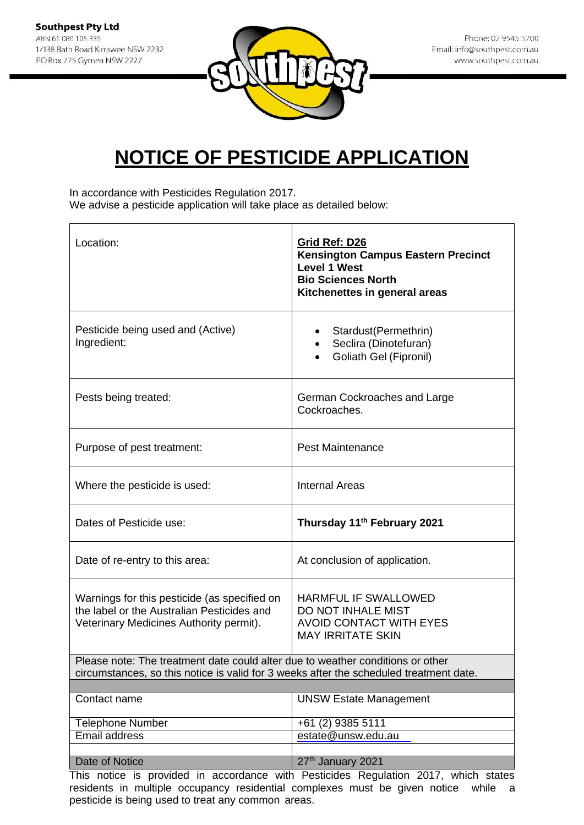

In accordance with Pesticides Regulation 2017. We advise a pesticide application will take place as detailed below:

| Location:                                                                                                                                                                | Grid Ref: D26<br><b>Kensington Campus Eastern Precinct</b><br><b>Level 1 West</b><br><b>Bio Sciences North</b><br>Kitchenettes in general areas |  |
|--------------------------------------------------------------------------------------------------------------------------------------------------------------------------|-------------------------------------------------------------------------------------------------------------------------------------------------|--|
| Pesticide being used and (Active)<br>Ingredient:                                                                                                                         | Stardust(Permethrin)<br>$\bullet$<br>Seclira (Dinotefuran)<br>Goliath Gel (Fipronil)                                                            |  |
| Pests being treated:                                                                                                                                                     | German Cockroaches and Large<br>Cockroaches.                                                                                                    |  |
| Purpose of pest treatment:                                                                                                                                               | <b>Pest Maintenance</b>                                                                                                                         |  |
| Where the pesticide is used:                                                                                                                                             | <b>Internal Areas</b>                                                                                                                           |  |
| Dates of Pesticide use:                                                                                                                                                  | Thursday 11 <sup>th</sup> February 2021                                                                                                         |  |
| Date of re-entry to this area:                                                                                                                                           | At conclusion of application.                                                                                                                   |  |
| Warnings for this pesticide (as specified on<br>the label or the Australian Pesticides and<br>Veterinary Medicines Authority permit).                                    | <b>HARMFUL IF SWALLOWED</b><br>DO NOT INHALE MIST<br>AVOID CONTACT WITH EYES<br><b>MAY IRRITATE SKIN</b>                                        |  |
| Please note: The treatment date could alter due to weather conditions or other<br>circumstances, so this notice is valid for 3 weeks after the scheduled treatment date. |                                                                                                                                                 |  |
|                                                                                                                                                                          |                                                                                                                                                 |  |
| Contact name                                                                                                                                                             | <b>UNSW Estate Management</b>                                                                                                                   |  |
| <b>Telephone Number</b>                                                                                                                                                  | +61 (2) 9385 5111                                                                                                                               |  |
| Email address                                                                                                                                                            | estate@unsw.edu.au                                                                                                                              |  |
|                                                                                                                                                                          |                                                                                                                                                 |  |
| Date of Notice                                                                                                                                                           | 27th January 2021<br>This notice is provided in secondaries with Bestieldes Bequilities 2017, which states                                      |  |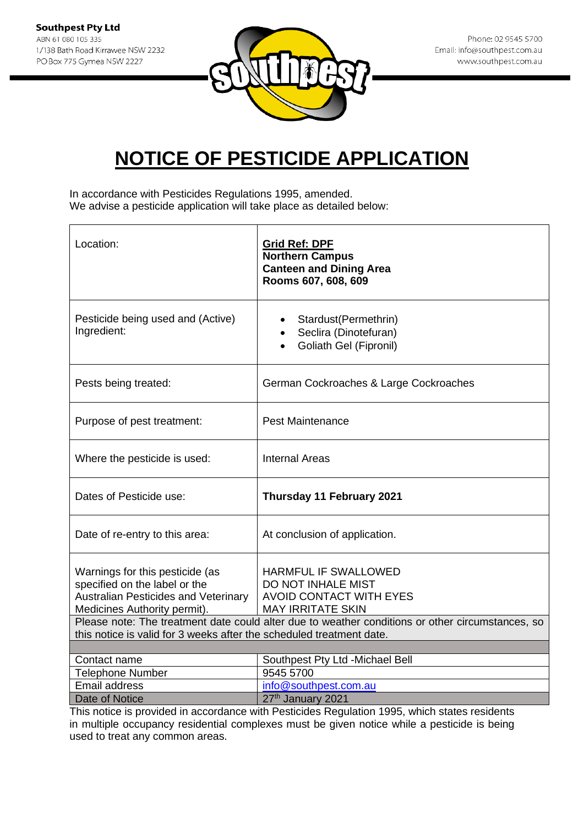

In accordance with Pesticides Regulations 1995, amended. We advise a pesticide application will take place as detailed below:

| Location:                                                                                                                                                                | Grid Ref: DPF<br><b>Northern Campus</b><br><b>Canteen and Dining Area</b><br>Rooms 607, 608, 609                |
|--------------------------------------------------------------------------------------------------------------------------------------------------------------------------|-----------------------------------------------------------------------------------------------------------------|
| Pesticide being used and (Active)<br>Ingredient:                                                                                                                         | Stardust(Permethrin)<br>Seclira (Dinotefuran)<br>$\bullet$<br>Goliath Gel (Fipronil)<br>$\bullet$               |
| Pests being treated:                                                                                                                                                     | German Cockroaches & Large Cockroaches                                                                          |
| Purpose of pest treatment:                                                                                                                                               | <b>Pest Maintenance</b>                                                                                         |
| Where the pesticide is used:                                                                                                                                             | <b>Internal Areas</b>                                                                                           |
| Dates of Pesticide use:                                                                                                                                                  | Thursday 11 February 2021                                                                                       |
| Date of re-entry to this area:                                                                                                                                           | At conclusion of application.                                                                                   |
| Warnings for this pesticide (as<br>specified on the label or the<br><b>Australian Pesticides and Veterinary</b><br>Medicines Authority permit).                          | <b>HARMFUL IF SWALLOWED</b><br>DO NOT INHALE MIST<br><b>AVOID CONTACT WITH EYES</b><br><b>MAY IRRITATE SKIN</b> |
| Please note: The treatment date could alter due to weather conditions or other circumstances, so<br>this notice is valid for 3 weeks after the scheduled treatment date. |                                                                                                                 |
|                                                                                                                                                                          |                                                                                                                 |
| Contact name                                                                                                                                                             | Southpest Pty Ltd -Michael Bell                                                                                 |
| Telephone Number                                                                                                                                                         | 9545 5700                                                                                                       |
| <b>Email address</b>                                                                                                                                                     | info@southpest.com.au                                                                                           |
| Date of Notice                                                                                                                                                           | 27th January 2021                                                                                               |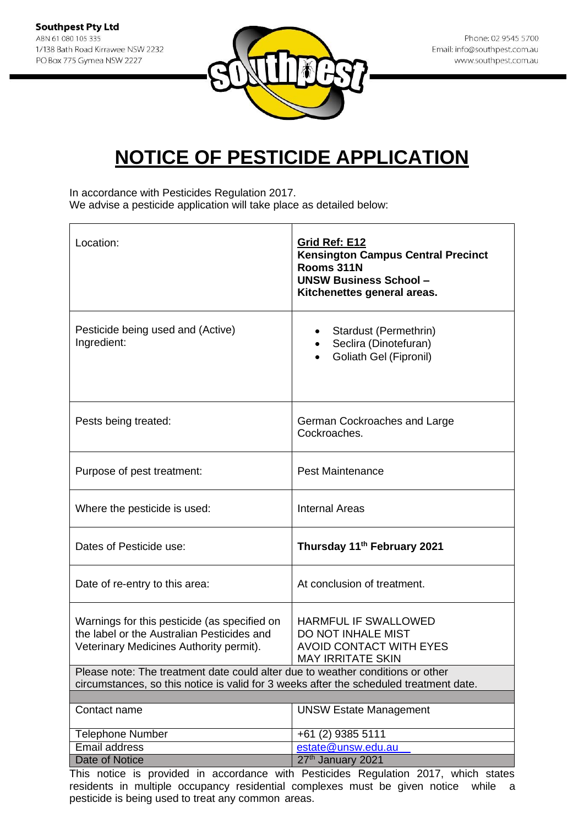

In accordance with Pesticides Regulation 2017. We advise a pesticide application will take place as detailed below:

| Location:                                                                                                                                                                | <b>Grid Ref: E12</b><br><b>Kensington Campus Central Precinct</b><br>Rooms 311N<br><b>UNSW Business School-</b><br>Kitchenettes general areas. |
|--------------------------------------------------------------------------------------------------------------------------------------------------------------------------|------------------------------------------------------------------------------------------------------------------------------------------------|
| Pesticide being used and (Active)<br>Ingredient:                                                                                                                         | Stardust (Permethrin)<br>Seclira (Dinotefuran)<br>Goliath Gel (Fipronil)                                                                       |
| Pests being treated:                                                                                                                                                     | German Cockroaches and Large<br>Cockroaches.                                                                                                   |
| Purpose of pest treatment:                                                                                                                                               | <b>Pest Maintenance</b>                                                                                                                        |
| Where the pesticide is used:                                                                                                                                             | <b>Internal Areas</b>                                                                                                                          |
| Dates of Pesticide use:                                                                                                                                                  | Thursday 11 <sup>th</sup> February 2021                                                                                                        |
| Date of re-entry to this area:                                                                                                                                           | At conclusion of treatment.                                                                                                                    |
| Warnings for this pesticide (as specified on<br>the label or the Australian Pesticides and<br>Veterinary Medicines Authority permit).                                    | <b>HARMFUL IF SWALLOWED</b><br>DO NOT INHALE MIST<br><b>AVOID CONTACT WITH EYES</b><br>MAY IRRITATE SKIN                                       |
| Please note: The treatment date could alter due to weather conditions or other<br>circumstances, so this notice is valid for 3 weeks after the scheduled treatment date. |                                                                                                                                                |
|                                                                                                                                                                          |                                                                                                                                                |
| Contact name                                                                                                                                                             | <b>UNSW Estate Management</b>                                                                                                                  |
| <b>Telephone Number</b>                                                                                                                                                  | +61 (2) 9385 5111                                                                                                                              |
| Email address                                                                                                                                                            | estate@unsw.edu.au                                                                                                                             |
| Date of Notice                                                                                                                                                           | 27th January 2021                                                                                                                              |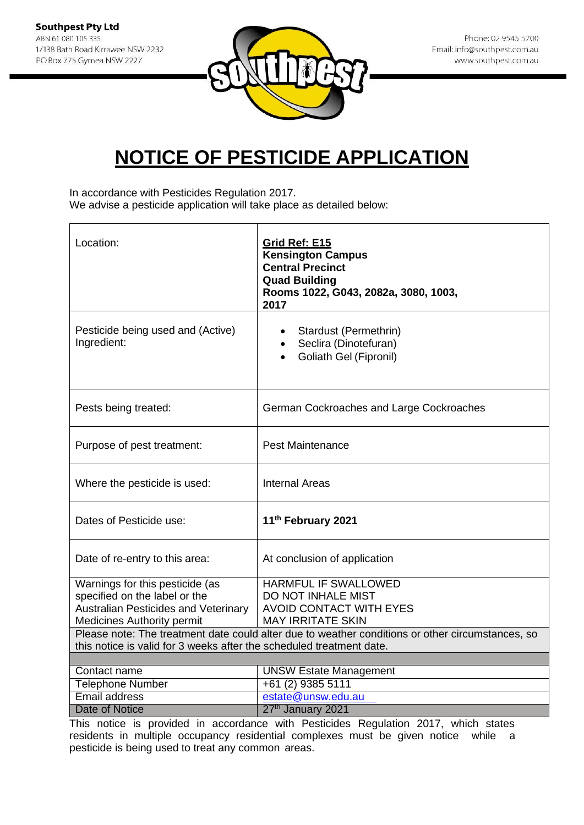**Southpest Pty Ltd** ABN 61 080 105 335 1/138 Bath Road Kirrawee NSW 2232 PO Box 775 Gymea NSW 2227



Phone: 02 9545 5700 Email: info@southpest.com.au www.southpest.com.au

### **NOTICE OF PESTICIDE APPLICATION**

In accordance with Pesticides Regulation 2017.

We advise a pesticide application will take place as detailed below:

| Location:                                                                                                                                                                | Grid Ref: E15<br><b>Kensington Campus</b><br><b>Central Precinct</b><br><b>Quad Building</b><br>Rooms 1022, G043, 2082a, 3080, 1003,<br>2017 |
|--------------------------------------------------------------------------------------------------------------------------------------------------------------------------|----------------------------------------------------------------------------------------------------------------------------------------------|
| Pesticide being used and (Active)<br>Ingredient:                                                                                                                         | • Stardust (Permethrin)<br>Seclira (Dinotefuran)<br>Goliath Gel (Fipronil)                                                                   |
| Pests being treated:                                                                                                                                                     | German Cockroaches and Large Cockroaches                                                                                                     |
| Purpose of pest treatment:                                                                                                                                               | <b>Pest Maintenance</b>                                                                                                                      |
| Where the pesticide is used:                                                                                                                                             | <b>Internal Areas</b>                                                                                                                        |
| Dates of Pesticide use:                                                                                                                                                  | 11 <sup>th</sup> February 2021                                                                                                               |
| Date of re-entry to this area:                                                                                                                                           | At conclusion of application                                                                                                                 |
| Warnings for this pesticide (as                                                                                                                                          | HARMFUL IF SWALLOWED                                                                                                                         |
| specified on the label or the                                                                                                                                            | DO NOT INHALE MIST                                                                                                                           |
| Australian Pesticides and Veterinary<br><b>Medicines Authority permit</b>                                                                                                | <b>AVOID CONTACT WITH EYES</b><br><b>MAY IRRITATE SKIN</b>                                                                                   |
|                                                                                                                                                                          |                                                                                                                                              |
| Please note: The treatment date could alter due to weather conditions or other circumstances, so<br>this notice is valid for 3 weeks after the scheduled treatment date. |                                                                                                                                              |
|                                                                                                                                                                          |                                                                                                                                              |
| Contact name                                                                                                                                                             | <b>UNSW Estate Management</b>                                                                                                                |
| <b>Telephone Number</b>                                                                                                                                                  | +61 (2) 9385 5111                                                                                                                            |
| <b>Email address</b>                                                                                                                                                     | estate@unsw.edu.au                                                                                                                           |
| <b>Date of Notice</b>                                                                                                                                                    | 27th January 2021                                                                                                                            |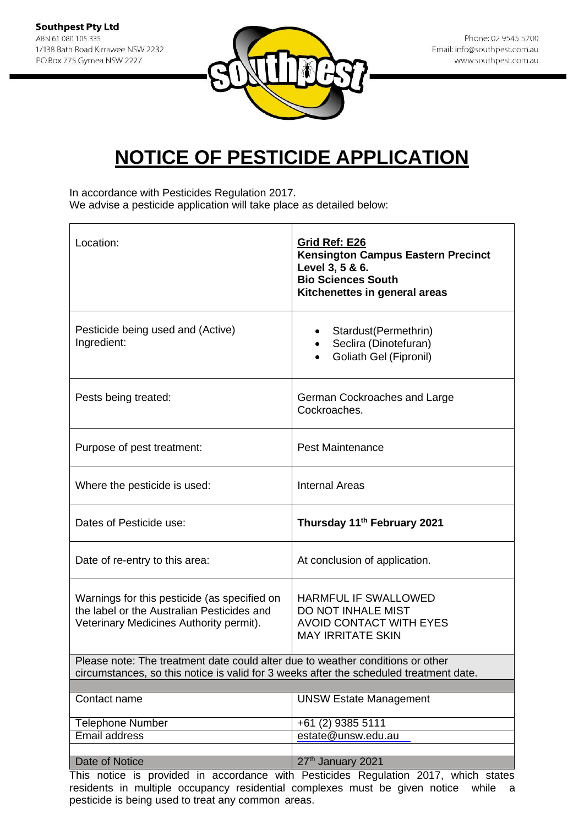

In accordance with Pesticides Regulation 2017. We advise a pesticide application will take place as detailed below:

| Location:                                                                                                                                                                | Grid Ref: E26<br><b>Kensington Campus Eastern Precinct</b><br>Level 3, 5 & 6.<br><b>Bio Sciences South</b><br>Kitchenettes in general areas |  |
|--------------------------------------------------------------------------------------------------------------------------------------------------------------------------|---------------------------------------------------------------------------------------------------------------------------------------------|--|
| Pesticide being used and (Active)<br>Ingredient:                                                                                                                         | Stardust(Permethrin)<br>Seclira (Dinotefuran)<br>Goliath Gel (Fipronil)                                                                     |  |
| Pests being treated:                                                                                                                                                     | German Cockroaches and Large<br>Cockroaches.                                                                                                |  |
| Purpose of pest treatment:                                                                                                                                               | <b>Pest Maintenance</b>                                                                                                                     |  |
| Where the pesticide is used:                                                                                                                                             | <b>Internal Areas</b>                                                                                                                       |  |
| Dates of Pesticide use:                                                                                                                                                  | Thursday 11 <sup>th</sup> February 2021                                                                                                     |  |
| Date of re-entry to this area:                                                                                                                                           | At conclusion of application.                                                                                                               |  |
| Warnings for this pesticide (as specified on<br>the label or the Australian Pesticides and<br>Veterinary Medicines Authority permit).                                    | <b>HARMFUL IF SWALLOWED</b><br>DO NOT INHALE MIST<br><b>AVOID CONTACT WITH EYES</b><br><b>MAY IRRITATE SKIN</b>                             |  |
| Please note: The treatment date could alter due to weather conditions or other<br>circumstances, so this notice is valid for 3 weeks after the scheduled treatment date. |                                                                                                                                             |  |
| Contact name                                                                                                                                                             | <b>UNSW Estate Management</b>                                                                                                               |  |
| Telephone Number                                                                                                                                                         |                                                                                                                                             |  |
| Email address                                                                                                                                                            | +61 (2) 9385 5111<br>estate@unsw.edu.au                                                                                                     |  |
|                                                                                                                                                                          |                                                                                                                                             |  |
| Date of Notice                                                                                                                                                           | 27th January 2021                                                                                                                           |  |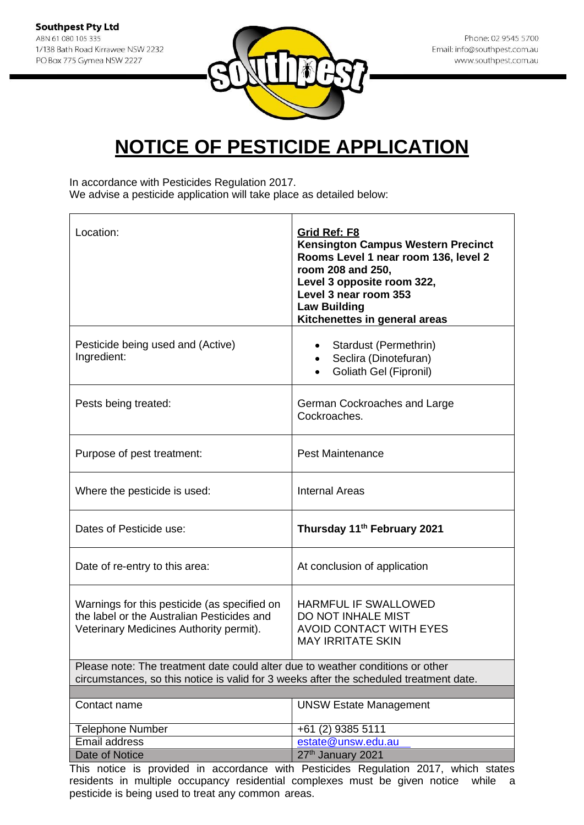

In accordance with Pesticides Regulation 2017. We advise a pesticide application will take place as detailed below:

| Location:                                                                                                                                                                | Grid Ref: F8<br><b>Kensington Campus Western Precinct</b><br>Rooms Level 1 near room 136, level 2<br>room 208 and 250,<br>Level 3 opposite room 322,<br>Level 3 near room 353<br><b>Law Building</b><br>Kitchenettes in general areas |  |
|--------------------------------------------------------------------------------------------------------------------------------------------------------------------------|---------------------------------------------------------------------------------------------------------------------------------------------------------------------------------------------------------------------------------------|--|
| Pesticide being used and (Active)<br>Ingredient:                                                                                                                         | • Stardust (Permethrin)<br>• Seclira (Dinotefuran)<br>Goliath Gel (Fipronil)                                                                                                                                                          |  |
| Pests being treated:                                                                                                                                                     | German Cockroaches and Large<br>Cockroaches.                                                                                                                                                                                          |  |
| Purpose of pest treatment:                                                                                                                                               | <b>Pest Maintenance</b>                                                                                                                                                                                                               |  |
| Where the pesticide is used:                                                                                                                                             | <b>Internal Areas</b>                                                                                                                                                                                                                 |  |
| Dates of Pesticide use:                                                                                                                                                  | Thursday 11 <sup>th</sup> February 2021                                                                                                                                                                                               |  |
| Date of re-entry to this area:                                                                                                                                           | At conclusion of application                                                                                                                                                                                                          |  |
| Warnings for this pesticide (as specified on<br>the label or the Australian Pesticides and<br>Veterinary Medicines Authority permit).                                    | <b>HARMFUL IF SWALLOWED</b><br><b>DO NOT INHALE MIST</b><br><b>AVOID CONTACT WITH EYES</b><br><b>MAY IRRITATE SKIN</b>                                                                                                                |  |
| Please note: The treatment date could alter due to weather conditions or other<br>circumstances, so this notice is valid for 3 weeks after the scheduled treatment date. |                                                                                                                                                                                                                                       |  |
|                                                                                                                                                                          |                                                                                                                                                                                                                                       |  |
| Contact name                                                                                                                                                             | <b>UNSW Estate Management</b>                                                                                                                                                                                                         |  |
| <b>Telephone Number</b>                                                                                                                                                  | +61 (2) 9385 5111                                                                                                                                                                                                                     |  |
| Email address                                                                                                                                                            | estate@unsw.edu.au                                                                                                                                                                                                                    |  |
| Date of Notice                                                                                                                                                           | 27th January 2021                                                                                                                                                                                                                     |  |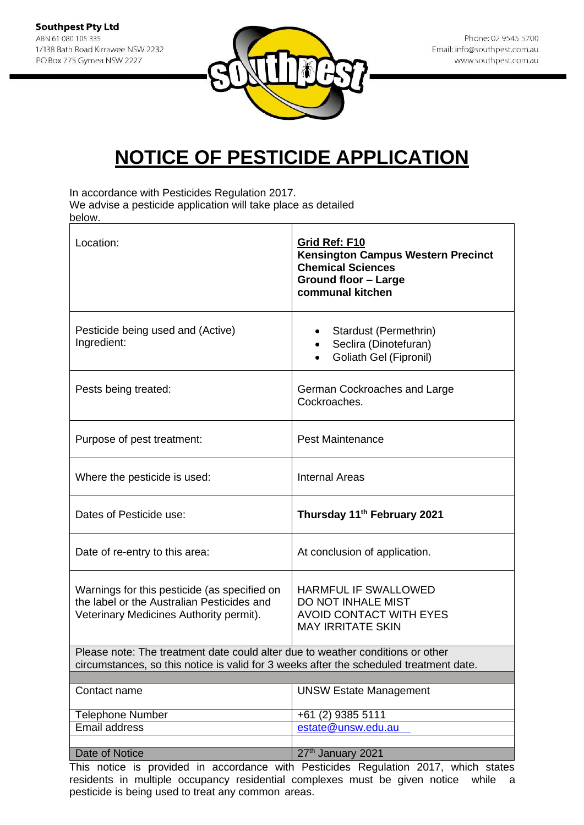

In accordance with Pesticides Regulation 2017.

We advise a pesticide application will take place as detailed below.

| Location:                                                                                                                                                                | Grid Ref: F10<br><b>Kensington Campus Western Precinct</b><br><b>Chemical Sciences</b><br><b>Ground floor - Large</b><br>communal kitchen |
|--------------------------------------------------------------------------------------------------------------------------------------------------------------------------|-------------------------------------------------------------------------------------------------------------------------------------------|
| Pesticide being used and (Active)<br>Ingredient:                                                                                                                         | Stardust (Permethrin)<br>Seclira (Dinotefuran)<br>$\bullet$<br>Goliath Gel (Fipronil)                                                     |
| Pests being treated:                                                                                                                                                     | German Cockroaches and Large<br>Cockroaches.                                                                                              |
| Purpose of pest treatment:                                                                                                                                               | <b>Pest Maintenance</b>                                                                                                                   |
| Where the pesticide is used:                                                                                                                                             | <b>Internal Areas</b>                                                                                                                     |
| Dates of Pesticide use:                                                                                                                                                  | Thursday 11 <sup>th</sup> February 2021                                                                                                   |
| Date of re-entry to this area:                                                                                                                                           | At conclusion of application.                                                                                                             |
| Warnings for this pesticide (as specified on<br>the label or the Australian Pesticides and<br>Veterinary Medicines Authority permit).                                    | <b>HARMFUL IF SWALLOWED</b><br>DO NOT INHALE MIST<br><b>AVOID CONTACT WITH EYES</b><br><b>MAY IRRITATE SKIN</b>                           |
| Please note: The treatment date could alter due to weather conditions or other<br>circumstances, so this notice is valid for 3 weeks after the scheduled treatment date. |                                                                                                                                           |
| Contact name                                                                                                                                                             | <b>UNSW Estate Management</b>                                                                                                             |
|                                                                                                                                                                          |                                                                                                                                           |
| <b>Telephone Number</b><br><b>Email address</b>                                                                                                                          | +61 (2) 9385 5111<br>estate@unsw.edu.au                                                                                                   |
|                                                                                                                                                                          |                                                                                                                                           |
| Date of Notice                                                                                                                                                           | 27th January 2021                                                                                                                         |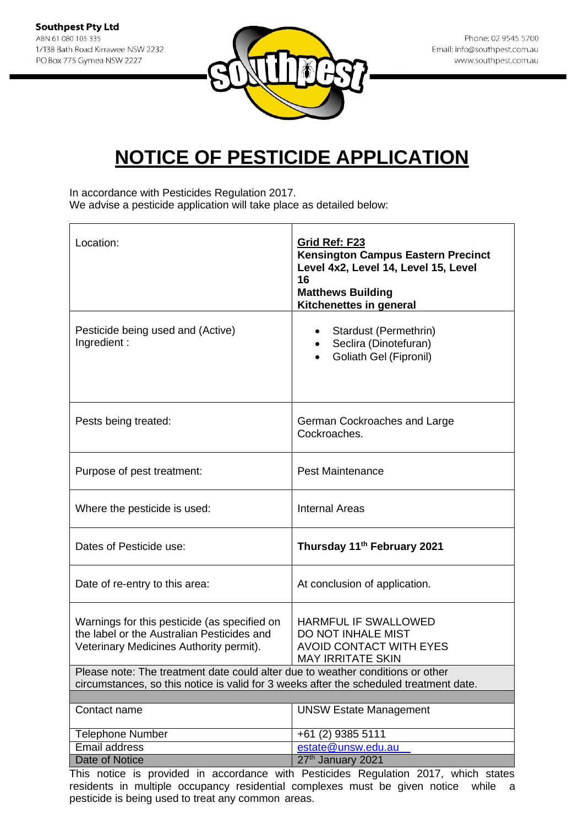

In accordance with Pesticides Regulation 2017. We advise a pesticide application will take place as detailed below:

| Location:                                                                                                                                                                | Grid Ref: F23<br><b>Kensington Campus Eastern Precinct</b><br>Level 4x2, Level 14, Level 15, Level<br>16<br><b>Matthews Building</b><br>Kitchenettes in general |
|--------------------------------------------------------------------------------------------------------------------------------------------------------------------------|-----------------------------------------------------------------------------------------------------------------------------------------------------------------|
| Pesticide being used and (Active)<br>Ingredient:                                                                                                                         | Stardust (Permethrin)<br>Seclira (Dinotefuran)<br>Goliath Gel (Fipronil)                                                                                        |
| Pests being treated:                                                                                                                                                     | German Cockroaches and Large<br>Cockroaches.                                                                                                                    |
| Purpose of pest treatment:                                                                                                                                               | <b>Pest Maintenance</b>                                                                                                                                         |
| Where the pesticide is used:                                                                                                                                             | <b>Internal Areas</b>                                                                                                                                           |
| Dates of Pesticide use:                                                                                                                                                  | Thursday 11 <sup>th</sup> February 2021                                                                                                                         |
| Date of re-entry to this area:                                                                                                                                           | At conclusion of application.                                                                                                                                   |
| Warnings for this pesticide (as specified on<br>the label or the Australian Pesticides and<br>Veterinary Medicines Authority permit).                                    | <b>HARMFUL IF SWALLOWED</b><br>DO NOT INHALE MIST<br><b>AVOID CONTACT WITH EYES</b><br><b>MAY IRRITATE SKIN</b>                                                 |
| Please note: The treatment date could alter due to weather conditions or other<br>circumstances, so this notice is valid for 3 weeks after the scheduled treatment date. |                                                                                                                                                                 |
|                                                                                                                                                                          |                                                                                                                                                                 |
| Contact name                                                                                                                                                             | <b>UNSW Estate Management</b>                                                                                                                                   |
| <b>Telephone Number</b>                                                                                                                                                  | +61 (2) 9385 5111                                                                                                                                               |
| Email address                                                                                                                                                            | estate@unsw.edu.au                                                                                                                                              |
| Date of Notice                                                                                                                                                           | 27th January 2021                                                                                                                                               |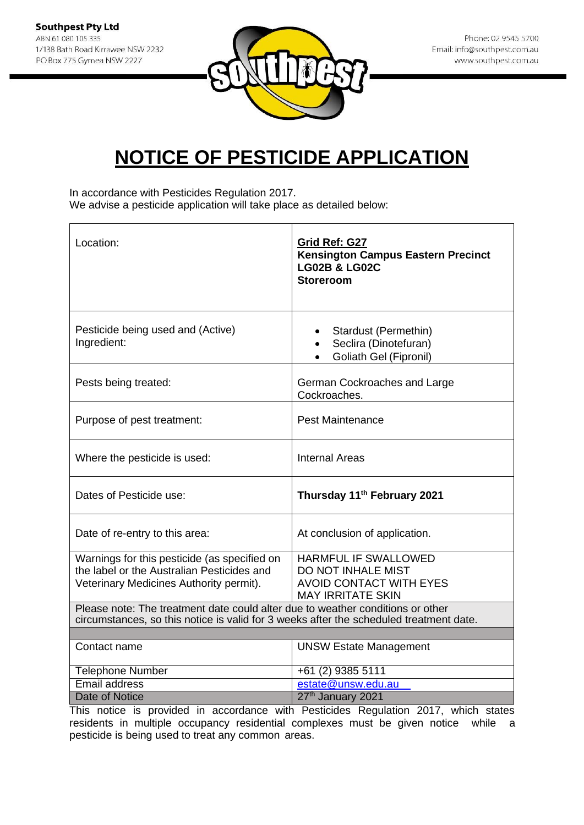

In accordance with Pesticides Regulation 2017. We advise a pesticide application will take place as detailed below:

| Location:                                                                                                                                                                | Grid Ref: G27<br><b>Kensington Campus Eastern Precinct</b><br><b>LG02B &amp; LG02C</b><br><b>Storeroom</b>             |  |
|--------------------------------------------------------------------------------------------------------------------------------------------------------------------------|------------------------------------------------------------------------------------------------------------------------|--|
| Pesticide being used and (Active)<br>Ingredient:                                                                                                                         | Stardust (Permethin)<br>$\bullet$<br>Seclira (Dinotefuran)<br>$\bullet$<br>Goliath Gel (Fipronil)<br>$\bullet$         |  |
| Pests being treated:                                                                                                                                                     | German Cockroaches and Large<br>Cockroaches.                                                                           |  |
| Purpose of pest treatment:                                                                                                                                               | <b>Pest Maintenance</b>                                                                                                |  |
| Where the pesticide is used:                                                                                                                                             | <b>Internal Areas</b>                                                                                                  |  |
| Dates of Pesticide use:                                                                                                                                                  | Thursday 11 <sup>th</sup> February 2021                                                                                |  |
| Date of re-entry to this area:                                                                                                                                           | At conclusion of application.                                                                                          |  |
| Warnings for this pesticide (as specified on<br>the label or the Australian Pesticides and<br>Veterinary Medicines Authority permit).                                    | <b>HARMFUL IF SWALLOWED</b><br><b>DO NOT INHALE MIST</b><br><b>AVOID CONTACT WITH EYES</b><br><b>MAY IRRITATE SKIN</b> |  |
| Please note: The treatment date could alter due to weather conditions or other<br>circumstances, so this notice is valid for 3 weeks after the scheduled treatment date. |                                                                                                                        |  |
| Contact name                                                                                                                                                             | <b>UNSW Estate Management</b>                                                                                          |  |
| <b>Telephone Number</b><br>Email address                                                                                                                                 | +61 (2) 9385 5111<br>estate@unsw.edu.au                                                                                |  |
| <b>Date of Notice</b>                                                                                                                                                    | 27 <sup>th</sup> January 2021                                                                                          |  |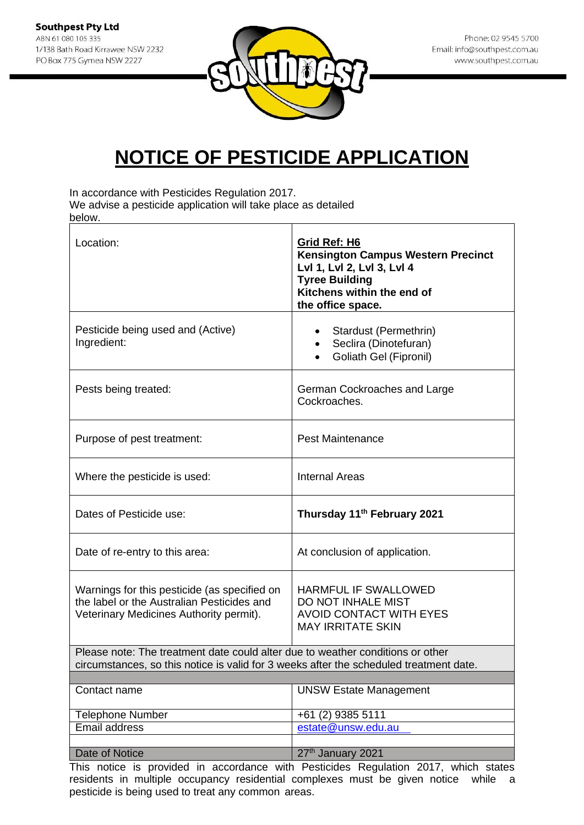

In accordance with Pesticides Regulation 2017.

We advise a pesticide application will take place as detailed below.

| Location:                                                                                                                                                                | Grid Ref: H6<br><b>Kensington Campus Western Precinct</b><br>Lvl 1, Lvl 2, Lvl 3, Lvl 4<br><b>Tyree Building</b><br>Kitchens within the end of<br>the office space. |
|--------------------------------------------------------------------------------------------------------------------------------------------------------------------------|---------------------------------------------------------------------------------------------------------------------------------------------------------------------|
| Pesticide being used and (Active)<br>Ingredient:                                                                                                                         | Stardust (Permethrin)<br>Seclira (Dinotefuran)<br>Goliath Gel (Fipronil)                                                                                            |
| Pests being treated:                                                                                                                                                     | German Cockroaches and Large<br>Cockroaches.                                                                                                                        |
| Purpose of pest treatment:                                                                                                                                               | <b>Pest Maintenance</b>                                                                                                                                             |
| Where the pesticide is used:                                                                                                                                             | <b>Internal Areas</b>                                                                                                                                               |
| Dates of Pesticide use:                                                                                                                                                  | Thursday 11 <sup>th</sup> February 2021                                                                                                                             |
| Date of re-entry to this area:                                                                                                                                           | At conclusion of application.                                                                                                                                       |
| Warnings for this pesticide (as specified on<br>the label or the Australian Pesticides and<br>Veterinary Medicines Authority permit).                                    | HARMFUL IF SWALLOWED<br>DO NOT INHALE MIST<br><b>AVOID CONTACT WITH EYES</b><br><b>MAY IRRITATE SKIN</b>                                                            |
| Please note: The treatment date could alter due to weather conditions or other<br>circumstances, so this notice is valid for 3 weeks after the scheduled treatment date. |                                                                                                                                                                     |
|                                                                                                                                                                          |                                                                                                                                                                     |
| Contact name                                                                                                                                                             | <b>UNSW Estate Management</b>                                                                                                                                       |
| <b>Telephone Number</b>                                                                                                                                                  | +61 (2) 9385 5111                                                                                                                                                   |
| <b>Email address</b>                                                                                                                                                     | estate@unsw.edu.au                                                                                                                                                  |
| Date of Notice                                                                                                                                                           | 27th January 2021                                                                                                                                                   |